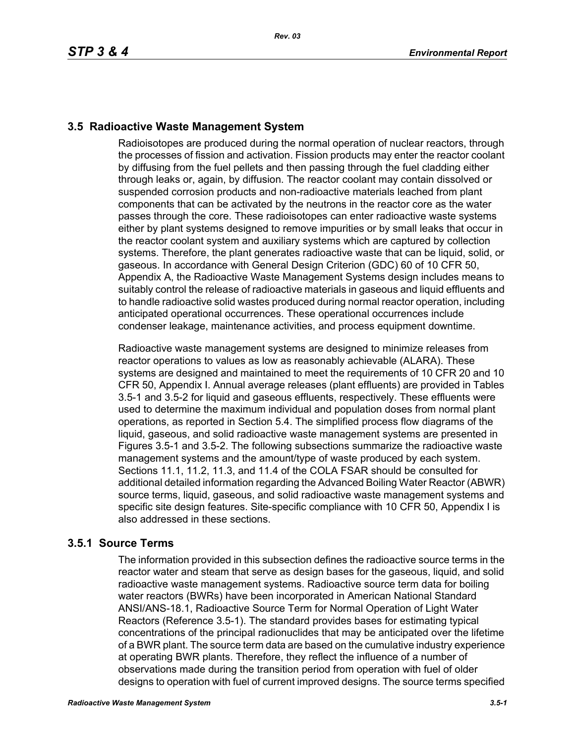# **3.5 Radioactive Waste Management System**

Radioisotopes are produced during the normal operation of nuclear reactors, through the processes of fission and activation. Fission products may enter the reactor coolant by diffusing from the fuel pellets and then passing through the fuel cladding either through leaks or, again, by diffusion. The reactor coolant may contain dissolved or suspended corrosion products and non-radioactive materials leached from plant components that can be activated by the neutrons in the reactor core as the water passes through the core. These radioisotopes can enter radioactive waste systems either by plant systems designed to remove impurities or by small leaks that occur in the reactor coolant system and auxiliary systems which are captured by collection systems. Therefore, the plant generates radioactive waste that can be liquid, solid, or gaseous. In accordance with General Design Criterion (GDC) 60 of 10 CFR 50, Appendix A, the Radioactive Waste Management Systems design includes means to suitably control the release of radioactive materials in gaseous and liquid effluents and to handle radioactive solid wastes produced during normal reactor operation, including anticipated operational occurrences. These operational occurrences include condenser leakage, maintenance activities, and process equipment downtime.

Radioactive waste management systems are designed to minimize releases from reactor operations to values as low as reasonably achievable (ALARA). These systems are designed and maintained to meet the requirements of 10 CFR 20 and 10 CFR 50, Appendix I. Annual average releases (plant effluents) are provided in Tables 3.5-1 and 3.5-2 for liquid and gaseous effluents, respectively. These effluents were used to determine the maximum individual and population doses from normal plant operations, as reported in Section 5.4. The simplified process flow diagrams of the liquid, gaseous, and solid radioactive waste management systems are presented in Figures 3.5-1 and 3.5-2. The following subsections summarize the radioactive waste management systems and the amount/type of waste produced by each system. Sections 11.1, 11.2, 11.3, and 11.4 of the COLA FSAR should be consulted for additional detailed information regarding the Advanced Boiling Water Reactor (ABWR) source terms, liquid, gaseous, and solid radioactive waste management systems and specific site design features. Site-specific compliance with 10 CFR 50, Appendix I is also addressed in these sections.

# **3.5.1 Source Terms**

The information provided in this subsection defines the radioactive source terms in the reactor water and steam that serve as design bases for the gaseous, liquid, and solid radioactive waste management systems. Radioactive source term data for boiling water reactors (BWRs) have been incorporated in American National Standard ANSI/ANS-18.1, Radioactive Source Term for Normal Operation of Light Water Reactors (Reference 3.5-1). The standard provides bases for estimating typical concentrations of the principal radionuclides that may be anticipated over the lifetime of a BWR plant. The source term data are based on the cumulative industry experience at operating BWR plants. Therefore, they reflect the influence of a number of observations made during the transition period from operation with fuel of older designs to operation with fuel of current improved designs. The source terms specified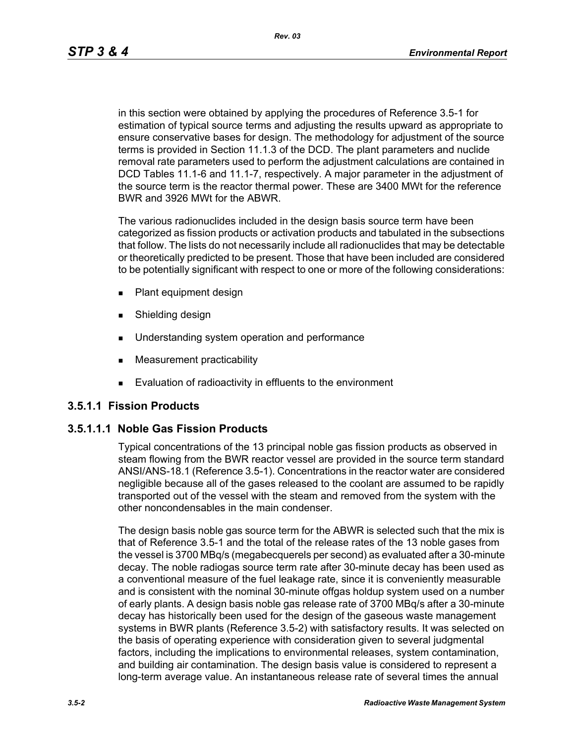*Rev. 03*

in this section were obtained by applying the procedures of Reference 3.5-1 for estimation of typical source terms and adjusting the results upward as appropriate to ensure conservative bases for design. The methodology for adjustment of the source terms is provided in Section 11.1.3 of the DCD. The plant parameters and nuclide removal rate parameters used to perform the adjustment calculations are contained in DCD Tables 11.1-6 and 11.1-7, respectively. A major parameter in the adjustment of the source term is the reactor thermal power. These are 3400 MWt for the reference BWR and 3926 MWt for the ABWR.

The various radionuclides included in the design basis source term have been categorized as fission products or activation products and tabulated in the subsections that follow. The lists do not necessarily include all radionuclides that may be detectable or theoretically predicted to be present. Those that have been included are considered to be potentially significant with respect to one or more of the following considerations:

- **Plant equipment design**
- **s** Shielding design
- **Understanding system operation and performance**
- **Measurement practicability**
- **Evaluation of radioactivity in effluents to the environment**

### **3.5.1.1 Fission Products**

### **3.5.1.1.1 Noble Gas Fission Products**

Typical concentrations of the 13 principal noble gas fission products as observed in steam flowing from the BWR reactor vessel are provided in the source term standard ANSI/ANS-18.1 (Reference 3.5-1). Concentrations in the reactor water are considered negligible because all of the gases released to the coolant are assumed to be rapidly transported out of the vessel with the steam and removed from the system with the other noncondensables in the main condenser.

The design basis noble gas source term for the ABWR is selected such that the mix is that of Reference 3.5-1 and the total of the release rates of the 13 noble gases from the vessel is 3700 MBq/s (megabecquerels per second) as evaluated after a 30-minute decay. The noble radiogas source term rate after 30-minute decay has been used as a conventional measure of the fuel leakage rate, since it is conveniently measurable and is consistent with the nominal 30-minute offgas holdup system used on a number of early plants. A design basis noble gas release rate of 3700 MBq/s after a 30-minute decay has historically been used for the design of the gaseous waste management systems in BWR plants (Reference 3.5-2) with satisfactory results. It was selected on the basis of operating experience with consideration given to several judgmental factors, including the implications to environmental releases, system contamination, and building air contamination. The design basis value is considered to represent a long-term average value. An instantaneous release rate of several times the annual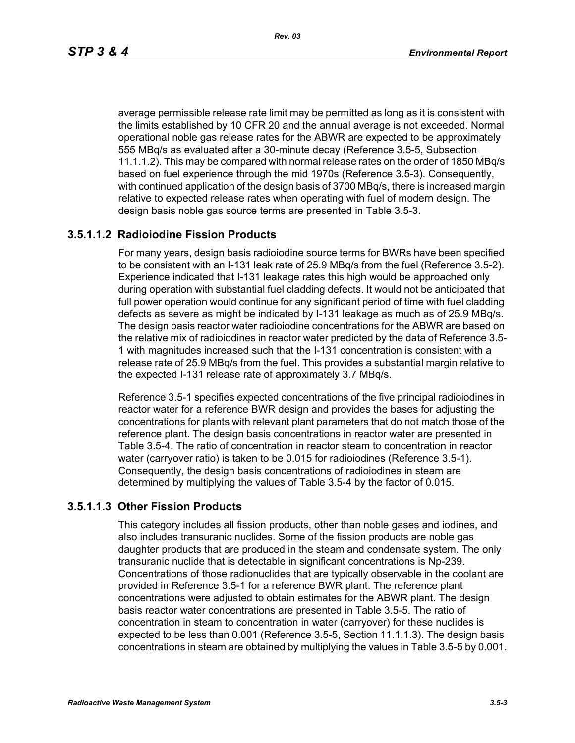average permissible release rate limit may be permitted as long as it is consistent with the limits established by 10 CFR 20 and the annual average is not exceeded. Normal operational noble gas release rates for the ABWR are expected to be approximately 555 MBq/s as evaluated after a 30-minute decay (Reference 3.5-5, Subsection 11.1.1.2). This may be compared with normal release rates on the order of 1850 MBq/s based on fuel experience through the mid 1970s (Reference 3.5-3). Consequently, with continued application of the design basis of 3700 MBq/s, there is increased margin relative to expected release rates when operating with fuel of modern design. The design basis noble gas source terms are presented in Table 3.5-3.

### **3.5.1.1.2 Radioiodine Fission Products**

For many years, design basis radioiodine source terms for BWRs have been specified to be consistent with an I-131 leak rate of 25.9 MBq/s from the fuel (Reference 3.5-2). Experience indicated that I-131 leakage rates this high would be approached only during operation with substantial fuel cladding defects. It would not be anticipated that full power operation would continue for any significant period of time with fuel cladding defects as severe as might be indicated by I-131 leakage as much as of 25.9 MBq/s. The design basis reactor water radioiodine concentrations for the ABWR are based on the relative mix of radioiodines in reactor water predicted by the data of Reference 3.5- 1 with magnitudes increased such that the I-131 concentration is consistent with a release rate of 25.9 MBq/s from the fuel. This provides a substantial margin relative to the expected I-131 release rate of approximately 3.7 MBq/s.

Reference 3.5-1 specifies expected concentrations of the five principal radioiodines in reactor water for a reference BWR design and provides the bases for adjusting the concentrations for plants with relevant plant parameters that do not match those of the reference plant. The design basis concentrations in reactor water are presented in Table 3.5-4. The ratio of concentration in reactor steam to concentration in reactor water (carryover ratio) is taken to be 0.015 for radioiodines (Reference 3.5-1). Consequently, the design basis concentrations of radioiodines in steam are determined by multiplying the values of Table 3.5-4 by the factor of 0.015.

#### **3.5.1.1.3 Other Fission Products**

This category includes all fission products, other than noble gases and iodines, and also includes transuranic nuclides. Some of the fission products are noble gas daughter products that are produced in the steam and condensate system. The only transuranic nuclide that is detectable in significant concentrations is Np-239. Concentrations of those radionuclides that are typically observable in the coolant are provided in Reference 3.5-1 for a reference BWR plant. The reference plant concentrations were adjusted to obtain estimates for the ABWR plant. The design basis reactor water concentrations are presented in Table 3.5-5. The ratio of concentration in steam to concentration in water (carryover) for these nuclides is expected to be less than 0.001 (Reference 3.5-5, Section 11.1.1.3). The design basis concentrations in steam are obtained by multiplying the values in Table 3.5-5 by 0.001.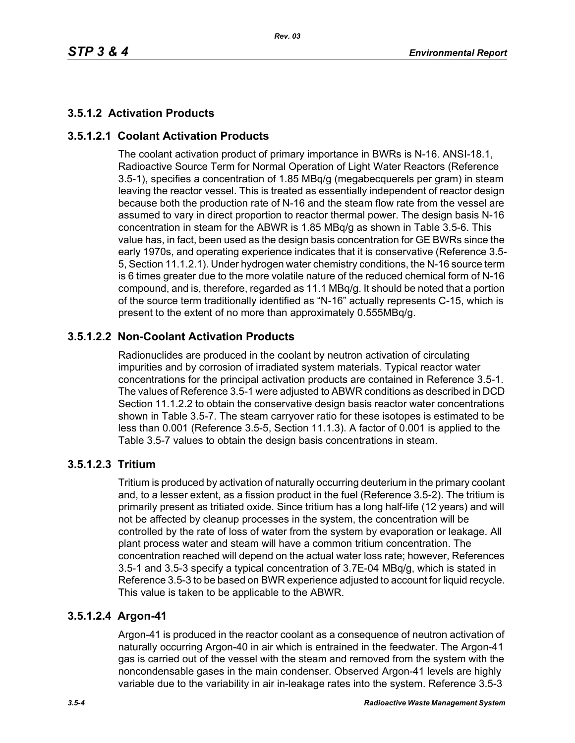# **3.5.1.2 Activation Products**

# **3.5.1.2.1 Coolant Activation Products**

The coolant activation product of primary importance in BWRs is N-16. ANSI-18.1, Radioactive Source Term for Normal Operation of Light Water Reactors (Reference 3.5-1), specifies a concentration of 1.85 MBq/g (megabecquerels per gram) in steam leaving the reactor vessel. This is treated as essentially independent of reactor design because both the production rate of N-16 and the steam flow rate from the vessel are assumed to vary in direct proportion to reactor thermal power. The design basis N-16 concentration in steam for the ABWR is 1.85 MBq/g as shown in Table 3.5-6. This value has, in fact, been used as the design basis concentration for GE BWRs since the early 1970s, and operating experience indicates that it is conservative (Reference 3.5- 5, Section 11.1.2.1). Under hydrogen water chemistry conditions, the N-16 source term is 6 times greater due to the more volatile nature of the reduced chemical form of N-16 compound, and is, therefore, regarded as 11.1 MBq/g. It should be noted that a portion of the source term traditionally identified as "N-16" actually represents C-15, which is present to the extent of no more than approximately 0.555MBq/g.

# **3.5.1.2.2 Non-Coolant Activation Products**

Radionuclides are produced in the coolant by neutron activation of circulating impurities and by corrosion of irradiated system materials. Typical reactor water concentrations for the principal activation products are contained in Reference 3.5-1. The values of Reference 3.5-1 were adjusted to ABWR conditions as described in DCD Section 11.1.2.2 to obtain the conservative design basis reactor water concentrations shown in Table 3.5-7. The steam carryover ratio for these isotopes is estimated to be less than 0.001 (Reference 3.5-5, Section 11.1.3). A factor of 0.001 is applied to the Table 3.5-7 values to obtain the design basis concentrations in steam.

### **3.5.1.2.3 Tritium**

Tritium is produced by activation of naturally occurring deuterium in the primary coolant and, to a lesser extent, as a fission product in the fuel (Reference 3.5-2). The tritium is primarily present as tritiated oxide. Since tritium has a long half-life (12 years) and will not be affected by cleanup processes in the system, the concentration will be controlled by the rate of loss of water from the system by evaporation or leakage. All plant process water and steam will have a common tritium concentration. The concentration reached will depend on the actual water loss rate; however, References 3.5-1 and 3.5-3 specify a typical concentration of 3.7E-04 MBq/g, which is stated in Reference 3.5-3 to be based on BWR experience adjusted to account for liquid recycle. This value is taken to be applicable to the ABWR.

### **3.5.1.2.4 Argon-41**

Argon-41 is produced in the reactor coolant as a consequence of neutron activation of naturally occurring Argon-40 in air which is entrained in the feedwater. The Argon-41 gas is carried out of the vessel with the steam and removed from the system with the noncondensable gases in the main condenser. Observed Argon-41 levels are highly variable due to the variability in air in-leakage rates into the system. Reference 3.5-3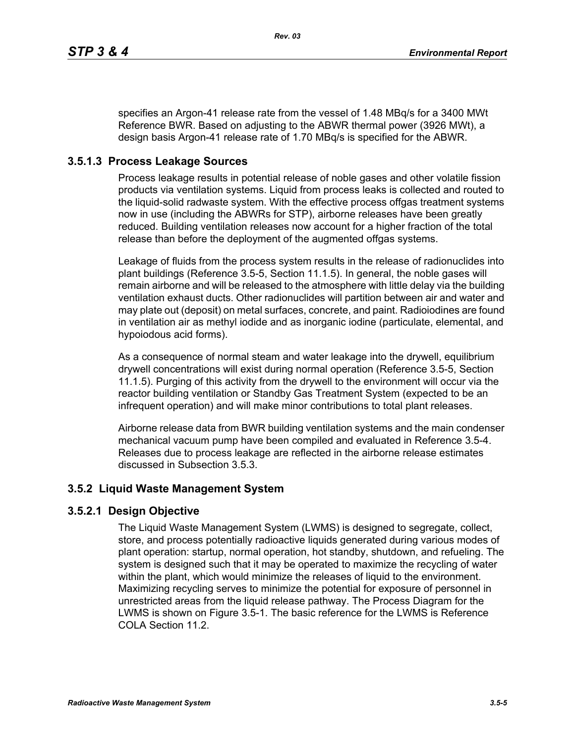specifies an Argon-41 release rate from the vessel of 1.48 MBq/s for a 3400 MWt Reference BWR. Based on adjusting to the ABWR thermal power (3926 MWt), a design basis Argon-41 release rate of 1.70 MBq/s is specified for the ABWR.

## **3.5.1.3 Process Leakage Sources**

Process leakage results in potential release of noble gases and other volatile fission products via ventilation systems. Liquid from process leaks is collected and routed to the liquid-solid radwaste system. With the effective process offgas treatment systems now in use (including the ABWRs for STP), airborne releases have been greatly reduced. Building ventilation releases now account for a higher fraction of the total release than before the deployment of the augmented offgas systems.

Leakage of fluids from the process system results in the release of radionuclides into plant buildings (Reference 3.5-5, Section 11.1.5). In general, the noble gases will remain airborne and will be released to the atmosphere with little delay via the building ventilation exhaust ducts. Other radionuclides will partition between air and water and may plate out (deposit) on metal surfaces, concrete, and paint. Radioiodines are found in ventilation air as methyl iodide and as inorganic iodine (particulate, elemental, and hypoiodous acid forms).

As a consequence of normal steam and water leakage into the drywell, equilibrium drywell concentrations will exist during normal operation (Reference 3.5-5, Section 11.1.5). Purging of this activity from the drywell to the environment will occur via the reactor building ventilation or Standby Gas Treatment System (expected to be an infrequent operation) and will make minor contributions to total plant releases.

Airborne release data from BWR building ventilation systems and the main condenser mechanical vacuum pump have been compiled and evaluated in Reference 3.5-4. Releases due to process leakage are reflected in the airborne release estimates discussed in Subsection 3.5.3.

### **3.5.2 Liquid Waste Management System**

### **3.5.2.1 Design Objective**

The Liquid Waste Management System (LWMS) is designed to segregate, collect, store, and process potentially radioactive liquids generated during various modes of plant operation: startup, normal operation, hot standby, shutdown, and refueling. The system is designed such that it may be operated to maximize the recycling of water within the plant, which would minimize the releases of liquid to the environment. Maximizing recycling serves to minimize the potential for exposure of personnel in unrestricted areas from the liquid release pathway. The Process Diagram for the LWMS is shown on Figure 3.5-1. The basic reference for the LWMS is Reference COLA Section 11.2.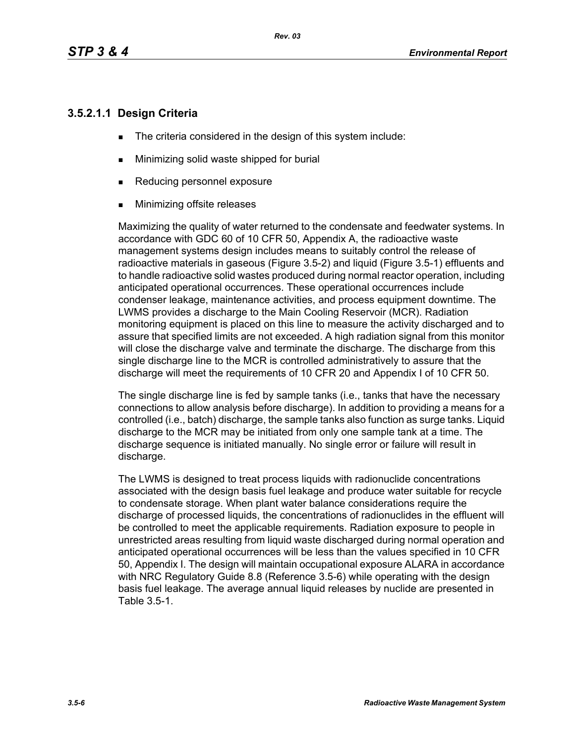### **3.5.2.1.1 Design Criteria**

- The criteria considered in the design of this system include:
- **Minimizing solid waste shipped for burial**
- Reducing personnel exposure
- **Minimizing offsite releases**

Maximizing the quality of water returned to the condensate and feedwater systems. In accordance with GDC 60 of 10 CFR 50, Appendix A, the radioactive waste management systems design includes means to suitably control the release of radioactive materials in gaseous (Figure 3.5-2) and liquid (Figure 3.5-1) effluents and to handle radioactive solid wastes produced during normal reactor operation, including anticipated operational occurrences. These operational occurrences include condenser leakage, maintenance activities, and process equipment downtime. The LWMS provides a discharge to the Main Cooling Reservoir (MCR). Radiation monitoring equipment is placed on this line to measure the activity discharged and to assure that specified limits are not exceeded. A high radiation signal from this monitor will close the discharge valve and terminate the discharge. The discharge from this single discharge line to the MCR is controlled administratively to assure that the discharge will meet the requirements of 10 CFR 20 and Appendix I of 10 CFR 50.

The single discharge line is fed by sample tanks (i.e., tanks that have the necessary connections to allow analysis before discharge). In addition to providing a means for a controlled (i.e., batch) discharge, the sample tanks also function as surge tanks. Liquid discharge to the MCR may be initiated from only one sample tank at a time. The discharge sequence is initiated manually. No single error or failure will result in discharge.

The LWMS is designed to treat process liquids with radionuclide concentrations associated with the design basis fuel leakage and produce water suitable for recycle to condensate storage. When plant water balance considerations require the discharge of processed liquids, the concentrations of radionuclides in the effluent will be controlled to meet the applicable requirements. Radiation exposure to people in unrestricted areas resulting from liquid waste discharged during normal operation and anticipated operational occurrences will be less than the values specified in 10 CFR 50, Appendix I. The design will maintain occupational exposure ALARA in accordance with NRC Regulatory Guide 8.8 (Reference 3.5-6) while operating with the design basis fuel leakage. The average annual liquid releases by nuclide are presented in Table 3.5-1.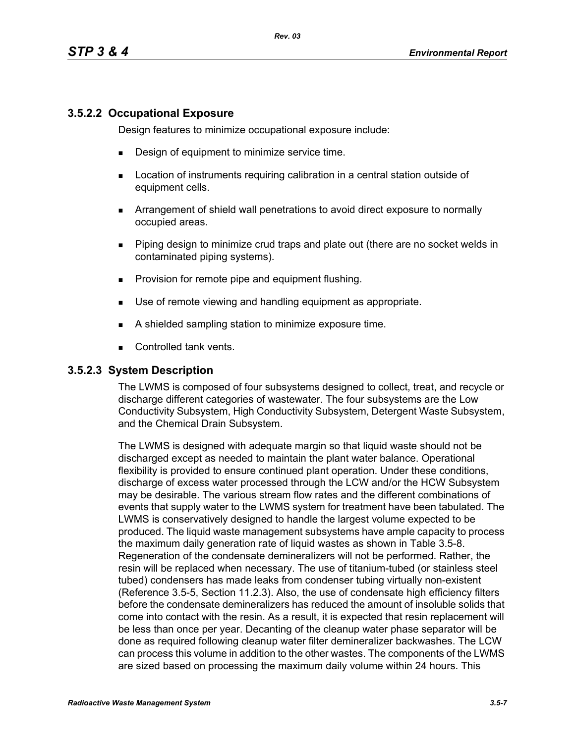### **3.5.2.2 Occupational Exposure**

Design features to minimize occupational exposure include:

- **Design of equipment to minimize service time.**
- **EXECT** Location of instruments requiring calibration in a central station outside of equipment cells.
- Arrangement of shield wall penetrations to avoid direct exposure to normally occupied areas.
- Piping design to minimize crud traps and plate out (there are no socket welds in contaminated piping systems).
- **Provision for remote pipe and equipment flushing.**
- Use of remote viewing and handling equipment as appropriate.
- A shielded sampling station to minimize exposure time.
- Controlled tank vents.

#### **3.5.2.3 System Description**

The LWMS is composed of four subsystems designed to collect, treat, and recycle or discharge different categories of wastewater. The four subsystems are the Low Conductivity Subsystem, High Conductivity Subsystem, Detergent Waste Subsystem, and the Chemical Drain Subsystem.

The LWMS is designed with adequate margin so that liquid waste should not be discharged except as needed to maintain the plant water balance. Operational flexibility is provided to ensure continued plant operation. Under these conditions, discharge of excess water processed through the LCW and/or the HCW Subsystem may be desirable. The various stream flow rates and the different combinations of events that supply water to the LWMS system for treatment have been tabulated. The LWMS is conservatively designed to handle the largest volume expected to be produced. The liquid waste management subsystems have ample capacity to process the maximum daily generation rate of liquid wastes as shown in Table 3.5-8. Regeneration of the condensate demineralizers will not be performed. Rather, the resin will be replaced when necessary. The use of titanium-tubed (or stainless steel tubed) condensers has made leaks from condenser tubing virtually non-existent (Reference 3.5-5, Section 11.2.3). Also, the use of condensate high efficiency filters before the condensate demineralizers has reduced the amount of insoluble solids that come into contact with the resin. As a result, it is expected that resin replacement will be less than once per year. Decanting of the cleanup water phase separator will be done as required following cleanup water filter demineralizer backwashes. The LCW can process this volume in addition to the other wastes. The components of the LWMS are sized based on processing the maximum daily volume within 24 hours. This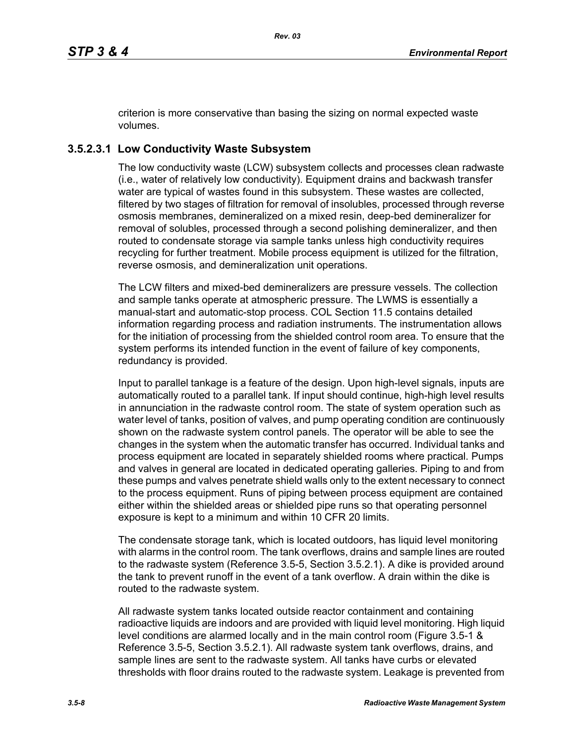criterion is more conservative than basing the sizing on normal expected waste volumes.

# **3.5.2.3.1 Low Conductivity Waste Subsystem**

The low conductivity waste (LCW) subsystem collects and processes clean radwaste (i.e., water of relatively low conductivity). Equipment drains and backwash transfer water are typical of wastes found in this subsystem. These wastes are collected, filtered by two stages of filtration for removal of insolubles, processed through reverse osmosis membranes, demineralized on a mixed resin, deep-bed demineralizer for removal of solubles, processed through a second polishing demineralizer, and then routed to condensate storage via sample tanks unless high conductivity requires recycling for further treatment. Mobile process equipment is utilized for the filtration, reverse osmosis, and demineralization unit operations.

The LCW filters and mixed-bed demineralizers are pressure vessels. The collection and sample tanks operate at atmospheric pressure. The LWMS is essentially a manual-start and automatic-stop process. COL Section 11.5 contains detailed information regarding process and radiation instruments. The instrumentation allows for the initiation of processing from the shielded control room area. To ensure that the system performs its intended function in the event of failure of key components, redundancy is provided.

Input to parallel tankage is a feature of the design. Upon high-level signals, inputs are automatically routed to a parallel tank. If input should continue, high-high level results in annunciation in the radwaste control room. The state of system operation such as water level of tanks, position of valves, and pump operating condition are continuously shown on the radwaste system control panels. The operator will be able to see the changes in the system when the automatic transfer has occurred. Individual tanks and process equipment are located in separately shielded rooms where practical. Pumps and valves in general are located in dedicated operating galleries. Piping to and from these pumps and valves penetrate shield walls only to the extent necessary to connect to the process equipment. Runs of piping between process equipment are contained either within the shielded areas or shielded pipe runs so that operating personnel exposure is kept to a minimum and within 10 CFR 20 limits.

The condensate storage tank, which is located outdoors, has liquid level monitoring with alarms in the control room. The tank overflows, drains and sample lines are routed to the radwaste system (Reference 3.5-5, Section 3.5.2.1). A dike is provided around the tank to prevent runoff in the event of a tank overflow. A drain within the dike is routed to the radwaste system.

All radwaste system tanks located outside reactor containment and containing radioactive liquids are indoors and are provided with liquid level monitoring. High liquid level conditions are alarmed locally and in the main control room (Figure 3.5-1 & Reference 3.5-5, Section 3.5.2.1). All radwaste system tank overflows, drains, and sample lines are sent to the radwaste system. All tanks have curbs or elevated thresholds with floor drains routed to the radwaste system. Leakage is prevented from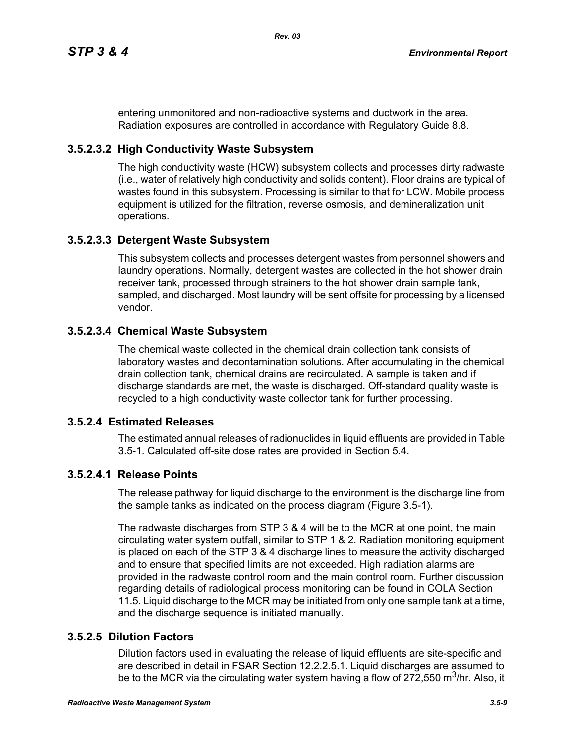entering unmonitored and non-radioactive systems and ductwork in the area. Radiation exposures are controlled in accordance with Regulatory Guide 8.8.

# **3.5.2.3.2 High Conductivity Waste Subsystem**

The high conductivity waste (HCW) subsystem collects and processes dirty radwaste (i.e., water of relatively high conductivity and solids content). Floor drains are typical of wastes found in this subsystem. Processing is similar to that for LCW. Mobile process equipment is utilized for the filtration, reverse osmosis, and demineralization unit operations.

### **3.5.2.3.3 Detergent Waste Subsystem**

This subsystem collects and processes detergent wastes from personnel showers and laundry operations. Normally, detergent wastes are collected in the hot shower drain receiver tank, processed through strainers to the hot shower drain sample tank, sampled, and discharged. Most laundry will be sent offsite for processing by a licensed vendor.

### **3.5.2.3.4 Chemical Waste Subsystem**

The chemical waste collected in the chemical drain collection tank consists of laboratory wastes and decontamination solutions. After accumulating in the chemical drain collection tank, chemical drains are recirculated. A sample is taken and if discharge standards are met, the waste is discharged. Off-standard quality waste is recycled to a high conductivity waste collector tank for further processing.

### **3.5.2.4 Estimated Releases**

The estimated annual releases of radionuclides in liquid effluents are provided in Table 3.5-1. Calculated off-site dose rates are provided in Section 5.4.

### **3.5.2.4.1 Release Points**

The release pathway for liquid discharge to the environment is the discharge line from the sample tanks as indicated on the process diagram (Figure 3.5-1).

The radwaste discharges from STP 3 & 4 will be to the MCR at one point, the main circulating water system outfall, similar to STP 1 & 2. Radiation monitoring equipment is placed on each of the STP 3 & 4 discharge lines to measure the activity discharged and to ensure that specified limits are not exceeded. High radiation alarms are provided in the radwaste control room and the main control room. Further discussion regarding details of radiological process monitoring can be found in COLA Section 11.5. Liquid discharge to the MCR may be initiated from only one sample tank at a time, and the discharge sequence is initiated manually.

### **3.5.2.5 Dilution Factors**

Dilution factors used in evaluating the release of liquid effluents are site-specific and are described in detail in FSAR Section 12.2.2.5.1. Liquid discharges are assumed to be to the MCR via the circulating water system having a flow of 272,550 m<sup>3</sup>/hr. Also, it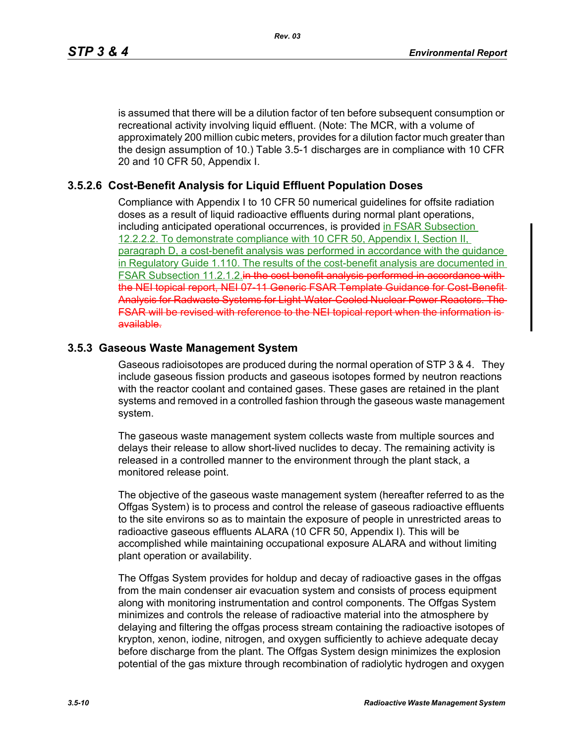is assumed that there will be a dilution factor of ten before subsequent consumption or recreational activity involving liquid effluent. (Note: The MCR, with a volume of approximately 200 million cubic meters, provides for a dilution factor much greater than the design assumption of 10.) Table 3.5-1 discharges are in compliance with 10 CFR 20 and 10 CFR 50, Appendix I.

### **3.5.2.6 Cost-Benefit Analysis for Liquid Effluent Population Doses**

Compliance with Appendix I to 10 CFR 50 numerical guidelines for offsite radiation doses as a result of liquid radioactive effluents during normal plant operations, including anticipated operational occurrences, is provided in FSAR Subsection 12.2.2.2. To demonstrate compliance with 10 CFR 50, Appendix I, Section II, paragraph D, a cost-benefit analysis was performed in accordance with the guidance in Regulatory Guide 1.110. The results of the cost-benefit analysis are documented in FSAR Subsection 11.2.1.2. in the cost benefit analysis performed in accordance with the NEI topical report, NEI 07-11 Generic FSAR Template Guidance for Cost-Benefit-Analysis for Radwaste Systems for Light-Water-Cooled Nuclear Power Reactors. The FSAR will be revised with reference to the NEI topical report when the information is available.

### **3.5.3 Gaseous Waste Management System**

Gaseous radioisotopes are produced during the normal operation of STP 3 & 4. They include gaseous fission products and gaseous isotopes formed by neutron reactions with the reactor coolant and contained gases. These gases are retained in the plant systems and removed in a controlled fashion through the gaseous waste management system.

The gaseous waste management system collects waste from multiple sources and delays their release to allow short-lived nuclides to decay. The remaining activity is released in a controlled manner to the environment through the plant stack, a monitored release point.

The objective of the gaseous waste management system (hereafter referred to as the Offgas System) is to process and control the release of gaseous radioactive effluents to the site environs so as to maintain the exposure of people in unrestricted areas to radioactive gaseous effluents ALARA (10 CFR 50, Appendix I). This will be accomplished while maintaining occupational exposure ALARA and without limiting plant operation or availability.

The Offgas System provides for holdup and decay of radioactive gases in the offgas from the main condenser air evacuation system and consists of process equipment along with monitoring instrumentation and control components. The Offgas System minimizes and controls the release of radioactive material into the atmosphere by delaying and filtering the offgas process stream containing the radioactive isotopes of krypton, xenon, iodine, nitrogen, and oxygen sufficiently to achieve adequate decay before discharge from the plant. The Offgas System design minimizes the explosion potential of the gas mixture through recombination of radiolytic hydrogen and oxygen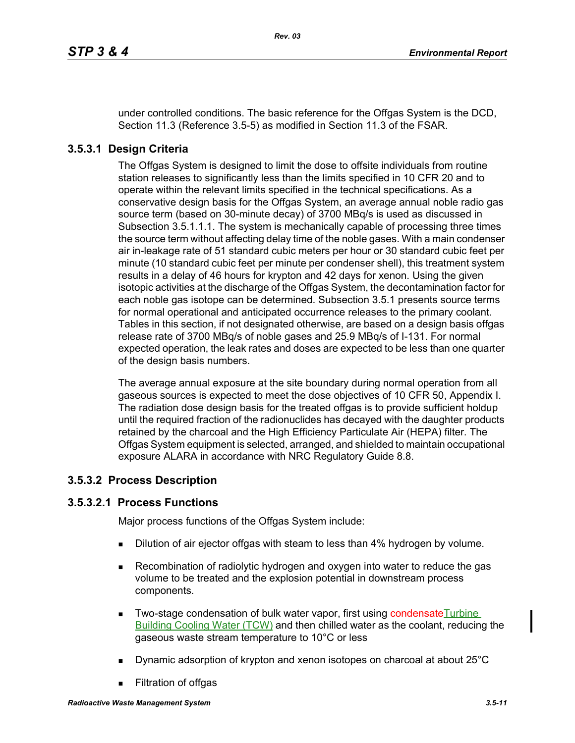under controlled conditions. The basic reference for the Offgas System is the DCD, Section 11.3 (Reference 3.5-5) as modified in Section 11.3 of the FSAR.

# **3.5.3.1 Design Criteria**

The Offgas System is designed to limit the dose to offsite individuals from routine station releases to significantly less than the limits specified in 10 CFR 20 and to operate within the relevant limits specified in the technical specifications. As a conservative design basis for the Offgas System, an average annual noble radio gas source term (based on 30-minute decay) of 3700 MBq/s is used as discussed in Subsection 3.5.1.1.1. The system is mechanically capable of processing three times the source term without affecting delay time of the noble gases. With a main condenser air in-leakage rate of 51 standard cubic meters per hour or 30 standard cubic feet per minute (10 standard cubic feet per minute per condenser shell), this treatment system results in a delay of 46 hours for krypton and 42 days for xenon. Using the given isotopic activities at the discharge of the Offgas System, the decontamination factor for each noble gas isotope can be determined. Subsection 3.5.1 presents source terms for normal operational and anticipated occurrence releases to the primary coolant. Tables in this section, if not designated otherwise, are based on a design basis offgas release rate of 3700 MBq/s of noble gases and 25.9 MBq/s of I-131. For normal expected operation, the leak rates and doses are expected to be less than one quarter of the design basis numbers.

The average annual exposure at the site boundary during normal operation from all gaseous sources is expected to meet the dose objectives of 10 CFR 50, Appendix I. The radiation dose design basis for the treated offgas is to provide sufficient holdup until the required fraction of the radionuclides has decayed with the daughter products retained by the charcoal and the High Efficiency Particulate Air (HEPA) filter. The Offgas System equipment is selected, arranged, and shielded to maintain occupational exposure ALARA in accordance with NRC Regulatory Guide 8.8.

### **3.5.3.2 Process Description**

### **3.5.3.2.1 Process Functions**

Major process functions of the Offgas System include:

- Dilution of air ejector offgas with steam to less than 4% hydrogen by volume.
- **Recombination of radiolytic hydrogen and oxygen into water to reduce the gas** volume to be treated and the explosion potential in downstream process components.
- Two-stage condensation of bulk water vapor, first using condensateTurbine Building Cooling Water (TCW) and then chilled water as the coolant, reducing the gaseous waste stream temperature to 10°C or less
- Dynamic adsorption of krypton and xenon isotopes on charcoal at about 25°C
- **Filtration of offgas**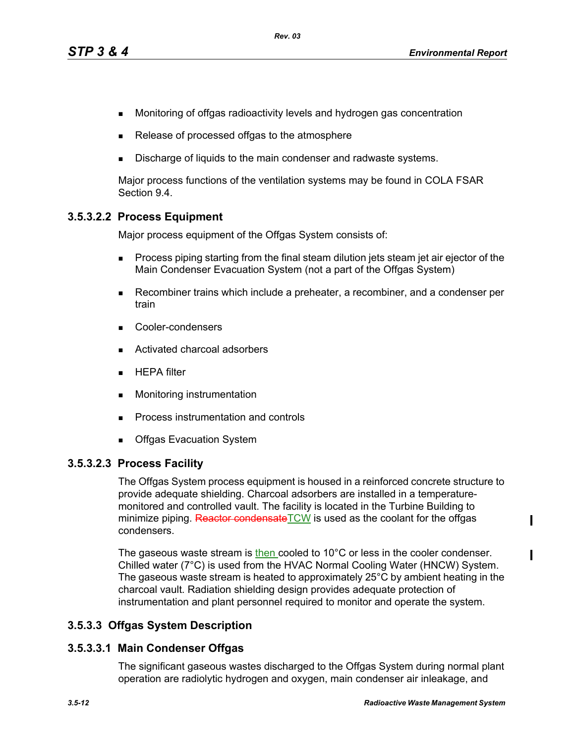- **Monitoring of offgas radioactivity levels and hydrogen gas concentration**
- Release of processed offgas to the atmosphere
- Discharge of liquids to the main condenser and radwaste systems.

Major process functions of the ventilation systems may be found in COLA FSAR Section 9.4.

### **3.5.3.2.2 Process Equipment**

Major process equipment of the Offgas System consists of:

- **Process piping starting from the final steam dilution jets steam jet air ejector of the** Main Condenser Evacuation System (not a part of the Offgas System)
- Recombiner trains which include a preheater, a recombiner, and a condenser per train
- Cooler-condensers
- Activated charcoal adsorbers
- **HEPA filter**
- **Monitoring instrumentation**
- **Process instrumentation and controls**
- Offgas Evacuation System

#### **3.5.3.2.3 Process Facility**

The Offgas System process equipment is housed in a reinforced concrete structure to provide adequate shielding. Charcoal adsorbers are installed in a temperaturemonitored and controlled vault. The facility is located in the Turbine Building to minimize piping. Reactor condensate TCW is used as the coolant for the offgas condensers.

The gaseous waste stream is then cooled to 10°C or less in the cooler condenser. Chilled water (7°C) is used from the HVAC Normal Cooling Water (HNCW) System. The gaseous waste stream is heated to approximately 25°C by ambient heating in the charcoal vault. Radiation shielding design provides adequate protection of instrumentation and plant personnel required to monitor and operate the system.

### **3.5.3.3 Offgas System Description**

#### **3.5.3.3.1 Main Condenser Offgas**

The significant gaseous wastes discharged to the Offgas System during normal plant operation are radiolytic hydrogen and oxygen, main condenser air inleakage, and

ı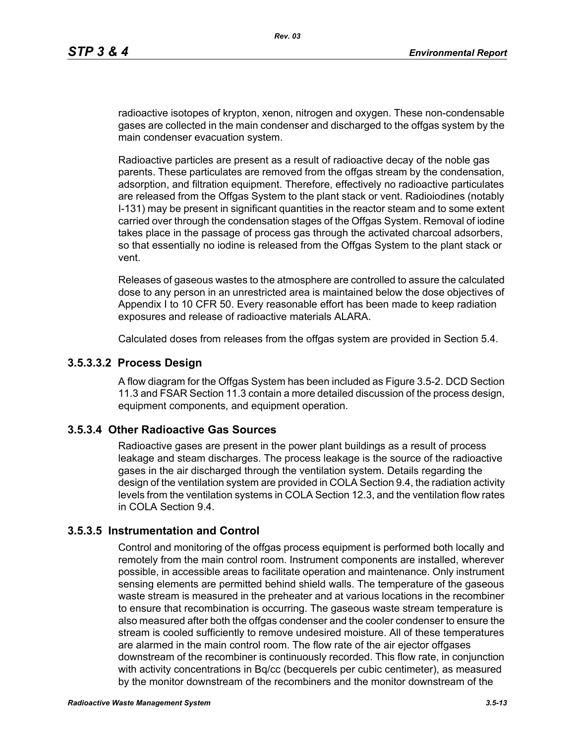radioactive isotopes of krypton, xenon, nitrogen and oxygen. These non-condensable gases are collected in the main condenser and discharged to the offgas system by the main condenser evacuation system.

Radioactive particles are present as a result of radioactive decay of the noble gas parents. These particulates are removed from the offgas stream by the condensation, adsorption, and filtration equipment. Therefore, effectively no radioactive particulates are released from the Offgas System to the plant stack or vent. Radioiodines (notably I-131) may be present in significant quantities in the reactor steam and to some extent carried over through the condensation stages of the Offgas System. Removal of iodine takes place in the passage of process gas through the activated charcoal adsorbers, so that essentially no iodine is released from the Offgas System to the plant stack or vent.

Releases of gaseous wastes to the atmosphere are controlled to assure the calculated dose to any person in an unrestricted area is maintained below the dose objectives of Appendix I to 10 CFR 50. Every reasonable effort has been made to keep radiation exposures and release of radioactive materials ALARA.

Calculated doses from releases from the offgas system are provided in Section 5.4.

#### **3.5.3.3.2 Process Design**

A flow diagram for the Offgas System has been included as Figure 3.5-2. DCD Section 11.3 and FSAR Section 11.3 contain a more detailed discussion of the process design, equipment components, and equipment operation.

#### **3.5.3.4 Other Radioactive Gas Sources**

Radioactive gases are present in the power plant buildings as a result of process leakage and steam discharges. The process leakage is the source of the radioactive gases in the air discharged through the ventilation system. Details regarding the design of the ventilation system are provided in COLA Section 9.4, the radiation activity levels from the ventilation systems in COLA Section 12.3, and the ventilation flow rates in COLA Section 9.4.

#### **3.5.3.5 Instrumentation and Control**

Control and monitoring of the offgas process equipment is performed both locally and remotely from the main control room. Instrument components are installed, wherever possible, in accessible areas to facilitate operation and maintenance. Only instrument sensing elements are permitted behind shield walls. The temperature of the gaseous waste stream is measured in the preheater and at various locations in the recombiner to ensure that recombination is occurring. The gaseous waste stream temperature is also measured after both the offgas condenser and the cooler condenser to ensure the stream is cooled sufficiently to remove undesired moisture. All of these temperatures are alarmed in the main control room. The flow rate of the air ejector offgases downstream of the recombiner is continuously recorded. This flow rate, in conjunction with activity concentrations in Bq/cc (becquerels per cubic centimeter), as measured by the monitor downstream of the recombiners and the monitor downstream of the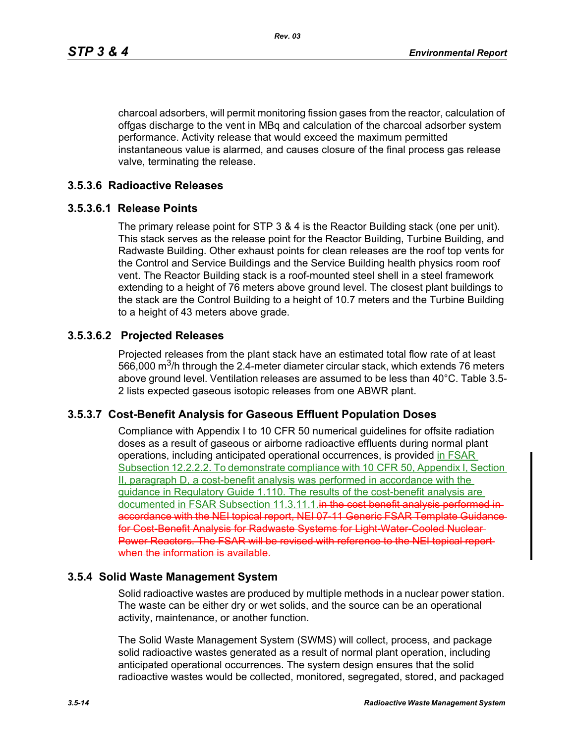charcoal adsorbers, will permit monitoring fission gases from the reactor, calculation of offgas discharge to the vent in MBq and calculation of the charcoal adsorber system performance. Activity release that would exceed the maximum permitted instantaneous value is alarmed, and causes closure of the final process gas release valve, terminating the release.

#### **3.5.3.6 Radioactive Releases**

# **3.5.3.6.1 Release Points**

The primary release point for STP 3 & 4 is the Reactor Building stack (one per unit). This stack serves as the release point for the Reactor Building, Turbine Building, and Radwaste Building. Other exhaust points for clean releases are the roof top vents for the Control and Service Buildings and the Service Building health physics room roof vent. The Reactor Building stack is a roof-mounted steel shell in a steel framework extending to a height of 76 meters above ground level. The closest plant buildings to the stack are the Control Building to a height of 10.7 meters and the Turbine Building to a height of 43 meters above grade.

### **3.5.3.6.2 Projected Releases**

Projected releases from the plant stack have an estimated total flow rate of at least 566,000  $\mathrm{m}^3$ /h through the 2.4-meter diameter circular stack, which extends 76 meters above ground level. Ventilation releases are assumed to be less than 40°C. Table 3.5- 2 lists expected gaseous isotopic releases from one ABWR plant.

### **3.5.3.7 Cost-Benefit Analysis for Gaseous Effluent Population Doses**

Compliance with Appendix I to 10 CFR 50 numerical guidelines for offsite radiation doses as a result of gaseous or airborne radioactive effluents during normal plant operations, including anticipated operational occurrences, is provided in FSAR Subsection 12.2.2.2. To demonstrate compliance with 10 CFR 50, Appendix I, Section II, paragraph D, a cost-benefit analysis was performed in accordance with the guidance in Regulatory Guide 1.110. The results of the cost-benefit analysis are documented in FSAR Subsection 11.3.11.1.in the cost benefit analysis performed inaccordance with the NEI topical report, NEI 07-11 Generic FSAR Template Guidance for Cost-Benefit Analysis for Radwaste Systems for Light-Water-Cooled Nuclear-Power Reactors. The FSAR will be revised with reference to the NEI topical report when the information is available.

### **3.5.4 Solid Waste Management System**

Solid radioactive wastes are produced by multiple methods in a nuclear power station. The waste can be either dry or wet solids, and the source can be an operational activity, maintenance, or another function.

The Solid Waste Management System (SWMS) will collect, process, and package solid radioactive wastes generated as a result of normal plant operation, including anticipated operational occurrences. The system design ensures that the solid radioactive wastes would be collected, monitored, segregated, stored, and packaged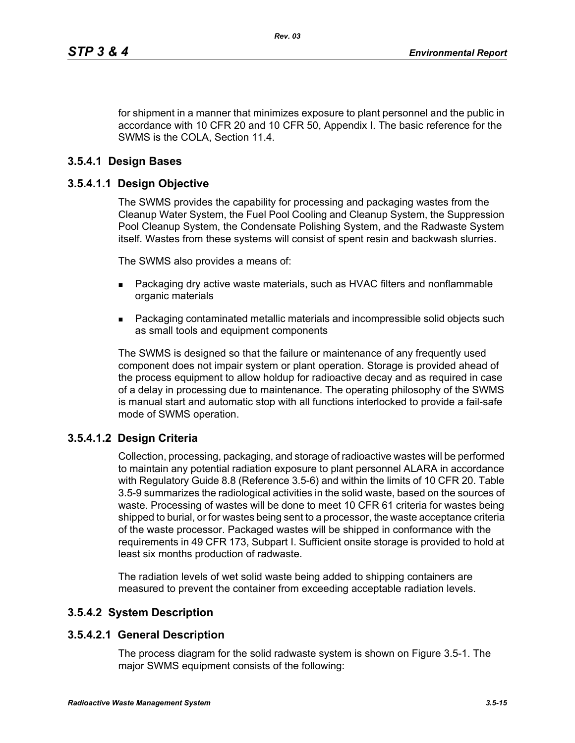for shipment in a manner that minimizes exposure to plant personnel and the public in accordance with 10 CFR 20 and 10 CFR 50, Appendix I. The basic reference for the SWMS is the COLA, Section 11.4.

#### **3.5.4.1 Design Bases**

#### **3.5.4.1.1 Design Objective**

The SWMS provides the capability for processing and packaging wastes from the Cleanup Water System, the Fuel Pool Cooling and Cleanup System, the Suppression Pool Cleanup System, the Condensate Polishing System, and the Radwaste System itself. Wastes from these systems will consist of spent resin and backwash slurries.

The SWMS also provides a means of:

- **Packaging dry active waste materials, such as HVAC filters and nonflammable** organic materials
- Packaging contaminated metallic materials and incompressible solid objects such as small tools and equipment components

The SWMS is designed so that the failure or maintenance of any frequently used component does not impair system or plant operation. Storage is provided ahead of the process equipment to allow holdup for radioactive decay and as required in case of a delay in processing due to maintenance. The operating philosophy of the SWMS is manual start and automatic stop with all functions interlocked to provide a fail-safe mode of SWMS operation.

#### **3.5.4.1.2 Design Criteria**

Collection, processing, packaging, and storage of radioactive wastes will be performed to maintain any potential radiation exposure to plant personnel ALARA in accordance with Regulatory Guide 8.8 (Reference 3.5-6) and within the limits of 10 CFR 20. Table 3.5-9 summarizes the radiological activities in the solid waste, based on the sources of waste. Processing of wastes will be done to meet 10 CFR 61 criteria for wastes being shipped to burial, or for wastes being sent to a processor, the waste acceptance criteria of the waste processor. Packaged wastes will be shipped in conformance with the requirements in 49 CFR 173, Subpart I. Sufficient onsite storage is provided to hold at least six months production of radwaste.

The radiation levels of wet solid waste being added to shipping containers are measured to prevent the container from exceeding acceptable radiation levels.

#### **3.5.4.2 System Description**

#### **3.5.4.2.1 General Description**

The process diagram for the solid radwaste system is shown on Figure 3.5-1. The major SWMS equipment consists of the following: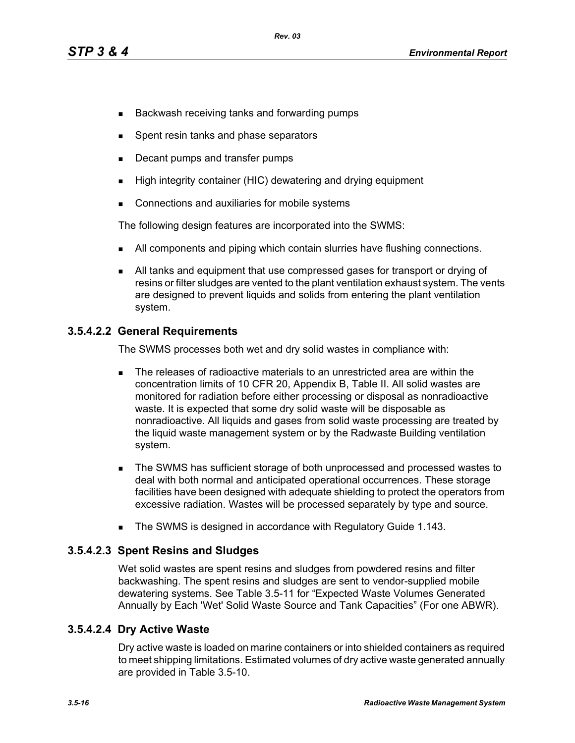- **Backwash receiving tanks and forwarding pumps**
- Spent resin tanks and phase separators
- Decant pumps and transfer pumps
- **High integrity container (HIC) dewatering and drying equipment**
- **Connections and auxiliaries for mobile systems**

The following design features are incorporated into the SWMS:

- I All components and piping which contain slurries have flushing connections.
- All tanks and equipment that use compressed gases for transport or drying of resins or filter sludges are vented to the plant ventilation exhaust system. The vents are designed to prevent liquids and solids from entering the plant ventilation system.

### **3.5.4.2.2 General Requirements**

The SWMS processes both wet and dry solid wastes in compliance with:

- The releases of radioactive materials to an unrestricted area are within the concentration limits of 10 CFR 20, Appendix B, Table II. All solid wastes are monitored for radiation before either processing or disposal as nonradioactive waste. It is expected that some dry solid waste will be disposable as nonradioactive. All liquids and gases from solid waste processing are treated by the liquid waste management system or by the Radwaste Building ventilation system.
- **The SWMS has sufficient storage of both unprocessed and processed wastes to** deal with both normal and anticipated operational occurrences. These storage facilities have been designed with adequate shielding to protect the operators from excessive radiation. Wastes will be processed separately by type and source.
- The SWMS is designed in accordance with Regulatory Guide 1.143.

### **3.5.4.2.3 Spent Resins and Sludges**

Wet solid wastes are spent resins and sludges from powdered resins and filter backwashing. The spent resins and sludges are sent to vendor-supplied mobile dewatering systems. See Table 3.5-11 for "Expected Waste Volumes Generated Annually by Each 'Wet' Solid Waste Source and Tank Capacities" (For one ABWR).

### **3.5.4.2.4 Dry Active Waste**

Dry active waste is loaded on marine containers or into shielded containers as required to meet shipping limitations. Estimated volumes of dry active waste generated annually are provided in Table 3.5-10.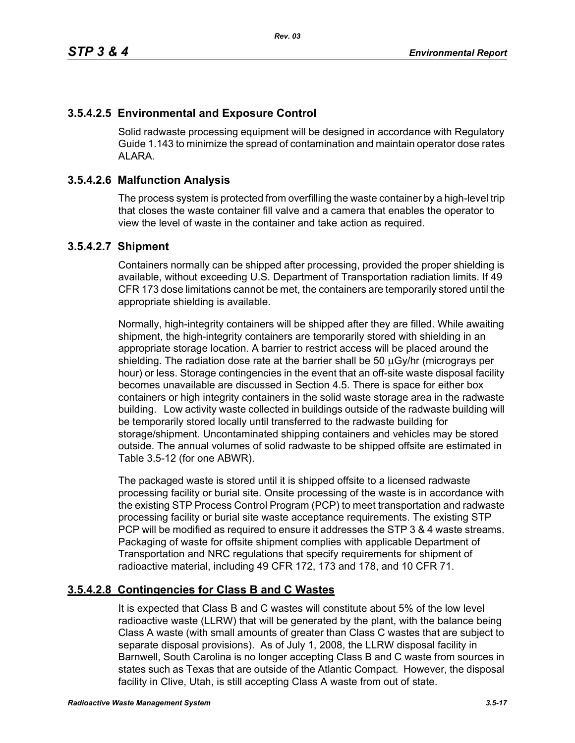## **3.5.4.2.5 Environmental and Exposure Control**

Solid radwaste processing equipment will be designed in accordance with Regulatory Guide 1.143 to minimize the spread of contamination and maintain operator dose rates ALARA.

### **3.5.4.2.6 Malfunction Analysis**

The process system is protected from overfilling the waste container by a high-level trip that closes the waste container fill valve and a camera that enables the operator to view the level of waste in the container and take action as required.

#### **3.5.4.2.7 Shipment**

Containers normally can be shipped after processing, provided the proper shielding is available, without exceeding U.S. Department of Transportation radiation limits. If 49 CFR 173 dose limitations cannot be met, the containers are temporarily stored until the appropriate shielding is available.

Normally, high-integrity containers will be shipped after they are filled. While awaiting shipment, the high-integrity containers are temporarily stored with shielding in an appropriate storage location. A barrier to restrict access will be placed around the shielding. The radiation dose rate at the barrier shall be 50 μGy/hr (micrograys per hour) or less. Storage contingencies in the event that an off-site waste disposal facility becomes unavailable are discussed in Section 4.5. There is space for either box containers or high integrity containers in the solid waste storage area in the radwaste building. Low activity waste collected in buildings outside of the radwaste building will be temporarily stored locally until transferred to the radwaste building for storage/shipment. Uncontaminated shipping containers and vehicles may be stored outside. The annual volumes of solid radwaste to be shipped offsite are estimated in Table 3.5-12 (for one ABWR).

The packaged waste is stored until it is shipped offsite to a licensed radwaste processing facility or burial site. Onsite processing of the waste is in accordance with the existing STP Process Control Program (PCP) to meet transportation and radwaste processing facility or burial site waste acceptance requirements. The existing STP PCP will be modified as required to ensure it addresses the STP 3 & 4 waste streams. Packaging of waste for offsite shipment complies with applicable Department of Transportation and NRC regulations that specify requirements for shipment of radioactive material, including 49 CFR 172, 173 and 178, and 10 CFR 71.

### **3.5.4.2.8 Contingencies for Class B and C Wastes**

It is expected that Class B and C wastes will constitute about 5% of the low level radioactive waste (LLRW) that will be generated by the plant, with the balance being Class A waste (with small amounts of greater than Class C wastes that are subject to separate disposal provisions). As of July 1, 2008, the LLRW disposal facility in Barnwell, South Carolina is no longer accepting Class B and C waste from sources in states such as Texas that are outside of the Atlantic Compact. However, the disposal facility in Clive, Utah, is still accepting Class A waste from out of state.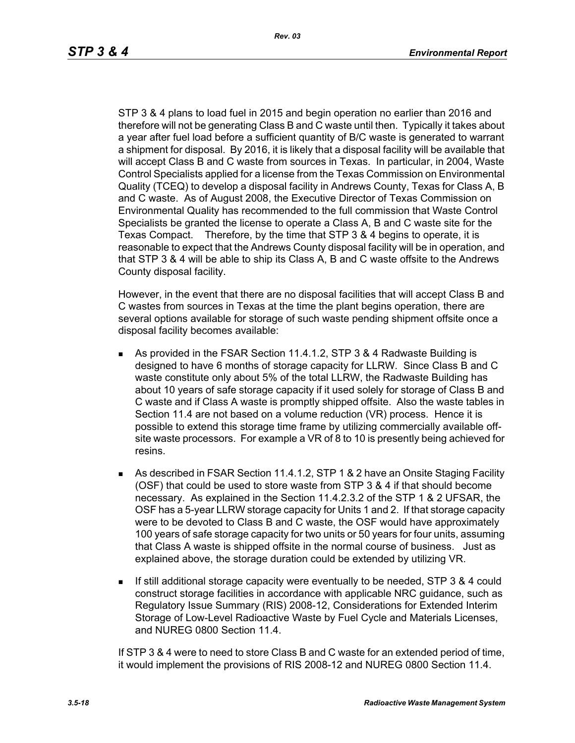STP 3 & 4 plans to load fuel in 2015 and begin operation no earlier than 2016 and therefore will not be generating Class B and C waste until then. Typically it takes about a year after fuel load before a sufficient quantity of B/C waste is generated to warrant a shipment for disposal. By 2016, it is likely that a disposal facility will be available that will accept Class B and C waste from sources in Texas. In particular, in 2004, Waste Control Specialists applied for a license from the Texas Commission on Environmental Quality (TCEQ) to develop a disposal facility in Andrews County, Texas for Class A, B and C waste. As of August 2008, the Executive Director of Texas Commission on Environmental Quality has recommended to the full commission that Waste Control Specialists be granted the license to operate a Class A, B and C waste site for the Texas Compact. Therefore, by the time that STP 3 & 4 begins to operate, it is reasonable to expect that the Andrews County disposal facility will be in operation, and that STP 3 & 4 will be able to ship its Class A, B and C waste offsite to the Andrews County disposal facility.

However, in the event that there are no disposal facilities that will accept Class B and C wastes from sources in Texas at the time the plant begins operation, there are several options available for storage of such waste pending shipment offsite once a disposal facility becomes available:

- As provided in the FSAR Section 11.4.1.2, STP 3 & 4 Radwaste Building is designed to have 6 months of storage capacity for LLRW. Since Class B and C waste constitute only about 5% of the total LLRW, the Radwaste Building has about 10 years of safe storage capacity if it used solely for storage of Class B and C waste and if Class A waste is promptly shipped offsite. Also the waste tables in Section 11.4 are not based on a volume reduction (VR) process. Hence it is possible to extend this storage time frame by utilizing commercially available offsite waste processors. For example a VR of 8 to 10 is presently being achieved for resins.
- As described in FSAR Section 11.4.1.2, STP 1 & 2 have an Onsite Staging Facility (OSF) that could be used to store waste from STP 3 & 4 if that should become necessary. As explained in the Section 11.4.2.3.2 of the STP 1 & 2 UFSAR, the OSF has a 5-year LLRW storage capacity for Units 1 and 2. If that storage capacity were to be devoted to Class B and C waste, the OSF would have approximately 100 years of safe storage capacity for two units or 50 years for four units, assuming that Class A waste is shipped offsite in the normal course of business. Just as explained above, the storage duration could be extended by utilizing VR.
- If still additional storage capacity were eventually to be needed, STP 3 & 4 could construct storage facilities in accordance with applicable NRC guidance, such as Regulatory Issue Summary (RIS) 2008-12, Considerations for Extended Interim Storage of Low-Level Radioactive Waste by Fuel Cycle and Materials Licenses, and NURFG 0800 Section 11.4

If STP 3 & 4 were to need to store Class B and C waste for an extended period of time, it would implement the provisions of RIS 2008-12 and NUREG 0800 Section 11.4.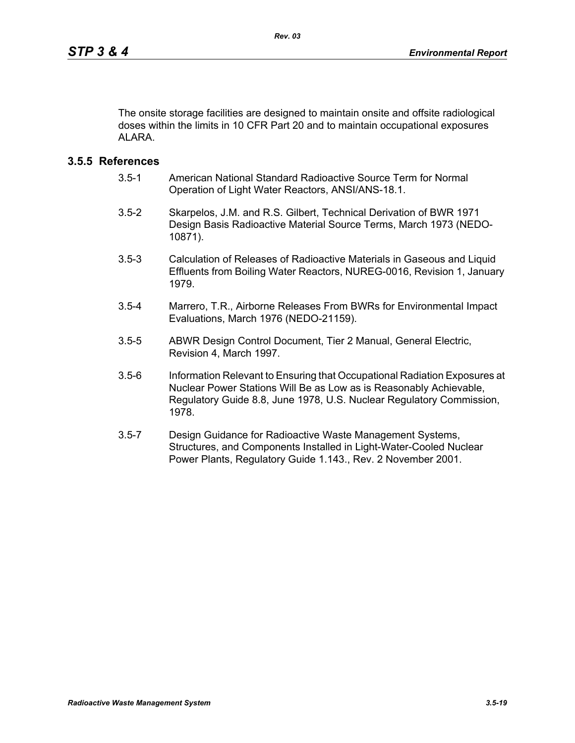The onsite storage facilities are designed to maintain onsite and offsite radiological doses within the limits in 10 CFR Part 20 and to maintain occupational exposures ALARA

### **3.5.5 References**

- 3.5-1 American National Standard Radioactive Source Term for Normal Operation of Light Water Reactors, ANSI/ANS-18.1.
- 3.5-2 Skarpelos, J.M. and R.S. Gilbert, Technical Derivation of BWR 1971 Design Basis Radioactive Material Source Terms, March 1973 (NEDO-10871).
- 3.5-3 Calculation of Releases of Radioactive Materials in Gaseous and Liquid Effluents from Boiling Water Reactors, NUREG-0016, Revision 1, January 1979.
- 3.5-4 Marrero, T.R., Airborne Releases From BWRs for Environmental Impact Evaluations, March 1976 (NEDO-21159).
- 3.5-5 ABWR Design Control Document, Tier 2 Manual, General Electric, Revision 4, March 1997.
- 3.5-6 Information Relevant to Ensuring that Occupational Radiation Exposures at Nuclear Power Stations Will Be as Low as is Reasonably Achievable, Regulatory Guide 8.8, June 1978, U.S. Nuclear Regulatory Commission, 1978.
- 3.5-7 Design Guidance for Radioactive Waste Management Systems, Structures, and Components Installed in Light-Water-Cooled Nuclear Power Plants, Regulatory Guide 1.143., Rev. 2 November 2001.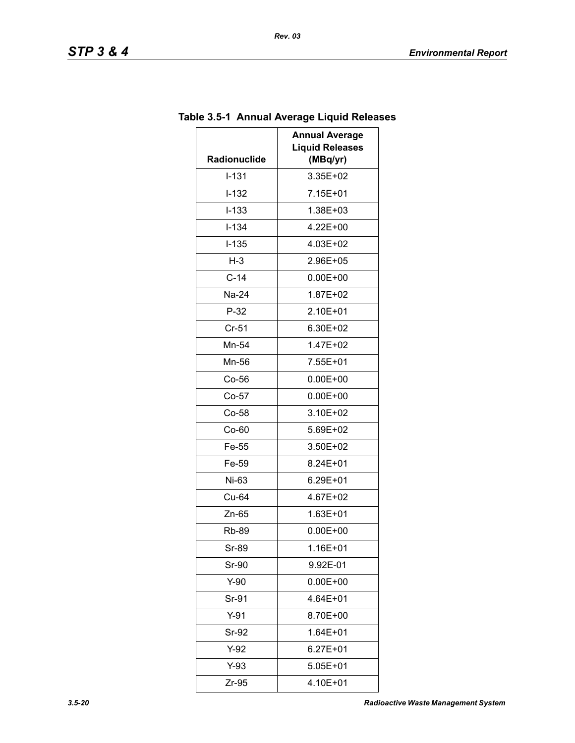| Radionuclide       | <b>Annual Average</b><br><b>Liquid Releases</b><br>(MBq/yr) |
|--------------------|-------------------------------------------------------------|
| $I-131$            | 3.35E+02                                                    |
| $I-132$            | 7.15E+01                                                    |
| $I - 133$          | 1.38E+03                                                    |
| $I - 134$          | 4.22E+00                                                    |
| $I-135$            | 4.03E+02                                                    |
| $H-3$              | 2.96E+05                                                    |
| $C-14$             | $0.00E + 00$                                                |
| Na-24              | 1.87E+02                                                    |
| $P-32$             | 2.10E+01                                                    |
| $Cr-51$            | 6.30E+02                                                    |
| Mn-54              | 1.47E+02                                                    |
| Mn-56              | 7.55E+01                                                    |
| $Co-56$            | $0.00E + 00$                                                |
| $Co-57$            | $0.00E + 00$                                                |
| $Co-58$            | 3.10E+02                                                    |
| Co-60              | 5.69E+02                                                    |
| Fe-55              | 3.50E+02                                                    |
| Fe-59              | 8.24E+01                                                    |
| Ni-63              | 6.29E+01                                                    |
| Cu-64              | 4.67E+02                                                    |
| $Zn-65$            | $1.63E + 01$                                                |
| Rb-89              | $0.00E + 00$                                                |
| Sr-89              | 1.16E+01                                                    |
| Sr-90              | 9.92E-01                                                    |
| $Y-90$             | $0.00E + 00$                                                |
| Sr-91              | 4.64E+01                                                    |
| $Y-91$             | 8.70E+00                                                    |
| Sr-92              | $1.64E + 01$                                                |
| $Y-92$             | $6.27E + 01$                                                |
| $Y-93$<br>5.05E+01 |                                                             |
| Zr-95              | 4.10E+01                                                    |

# **Table 3.5-1 Annual Average Liquid Releases**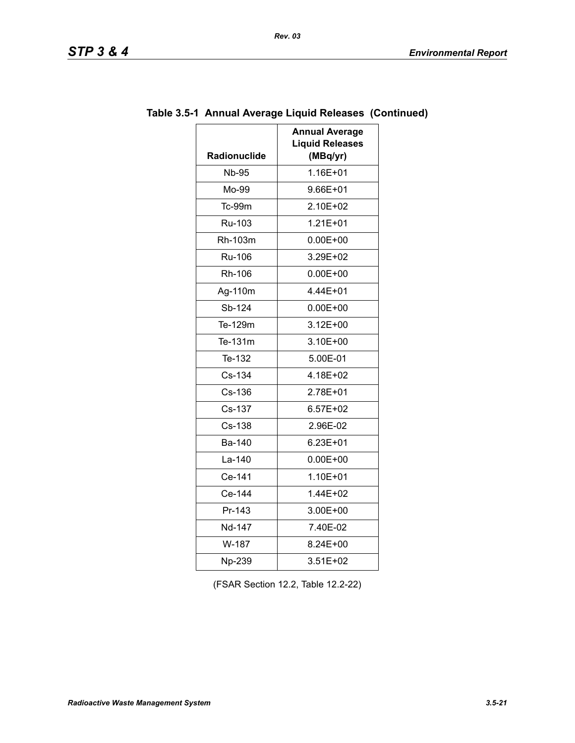| מדי<br>SIF |  | гv |  |  |
|------------|--|----|--|--|
|------------|--|----|--|--|

| <b>Radionuclide</b> | <b>Annual Average</b><br><b>Liquid Releases</b><br>(MBq/yr) |
|---------------------|-------------------------------------------------------------|
| <b>Nb-95</b>        | 1.16E+01                                                    |
| Mo-99               | 9.66E+01                                                    |
| Tc-99m              | 2.10E+02                                                    |
| Ru-103              | $1.21E + 01$                                                |
| Rh-103m             | $0.00E + 00$                                                |
| <b>Ru-106</b>       | 3.29E+02                                                    |
| Rh-106              | $0.00E + 00$                                                |
| Ag-110m             | 4.44E+01                                                    |
| Sb-124              | $0.00E + 00$                                                |
| Te-129m             | $3.12E + 00$                                                |
| Te-131m             | 3.10E+00                                                    |
| Te-132              | 5.00E-01                                                    |
| Cs-134              | 4.18E+02                                                    |
| Cs-136              | 2.78E+01                                                    |
| Cs-137              | $6.57E + 02$                                                |
| Cs-138              | 2.96E-02                                                    |
| Ba-140              | 6.23E+01                                                    |
| La-140              | $0.00E + 00$                                                |
| Ce-141              | 1.10E+01                                                    |
| Ce-144              | 1.44E+02                                                    |
| Pr-143              | 3.00E+00                                                    |
| Nd-147              | 7.40E-02                                                    |
| W-187               | 8.24E+00                                                    |
| Np-239              | 3.51E+02                                                    |

# **Table 3.5-1 Annual Average Liquid Releases (Continued)**

(FSAR Section 12.2, Table 12.2-22)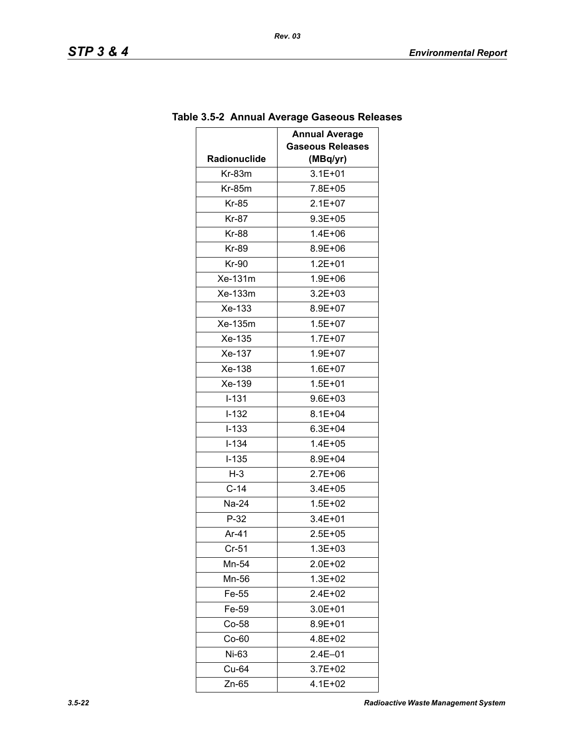| Radionuclide     | <b>Annual Average</b><br><b>Gaseous Releases</b><br>(MBq/yr) |
|------------------|--------------------------------------------------------------|
| Kr-83m           | $3.1E + 01$                                                  |
| Kr-85m           | 7.8E+05                                                      |
| <b>Kr-85</b>     | $2.1E + 07$                                                  |
| Kr-87            | $9.3E + 05$                                                  |
| <b>Kr-88</b>     | $1.4E + 06$                                                  |
| <b>Kr-89</b>     | 8.9E+06                                                      |
| Kr-90            | $1.2E + 01$                                                  |
| Xe-131m          | 1.9E+06                                                      |
| Xe-133m          | $3.2E + 03$                                                  |
| Xe-133           | 8.9E+07                                                      |
| Xe-135m          | $1.5E + 07$                                                  |
| Xe-135           | $1.7E + 07$                                                  |
| Xe-137           | $1.9E + 07$                                                  |
| Xe-138           | $1.6E + 07$                                                  |
| Xe-139           | $1.5E + 01$                                                  |
| $I - 131$        | 9.6E+03                                                      |
| $I-132$          | $8.1E + 04$                                                  |
| $I-133$          | $6.3E + 04$                                                  |
| $I - 134$        | $1.4E + 05$                                                  |
| $I-135$          | 8.9E+04                                                      |
| $H-3$            | $2.7E + 06$                                                  |
| $C-14$           | $3.4E + 05$                                                  |
| Na-24            | 1.5E+02                                                      |
| $P-32$           | $3.4E + 01$                                                  |
| Ar-41            | $2.5E + 05$                                                  |
| $Cr-51$          | 1.3E+03                                                      |
| Mn-54            | 2.0E+02                                                      |
| Mn-56            | $1.3E + 02$                                                  |
| Fe-55            | 2.4E+02                                                      |
| Fe-59            | 3.0E+01                                                      |
| Co-58<br>8.9E+01 |                                                              |
| $Co-60$          | 4.8E+02                                                      |
| Ni-63            | $2.4E - 01$                                                  |
| Cu-64<br>3.7E+02 |                                                              |
| Zn-65            | 4.1E+02                                                      |

# **Table 3.5-2 Annual Average Gaseous Releases**

*Rev. 03*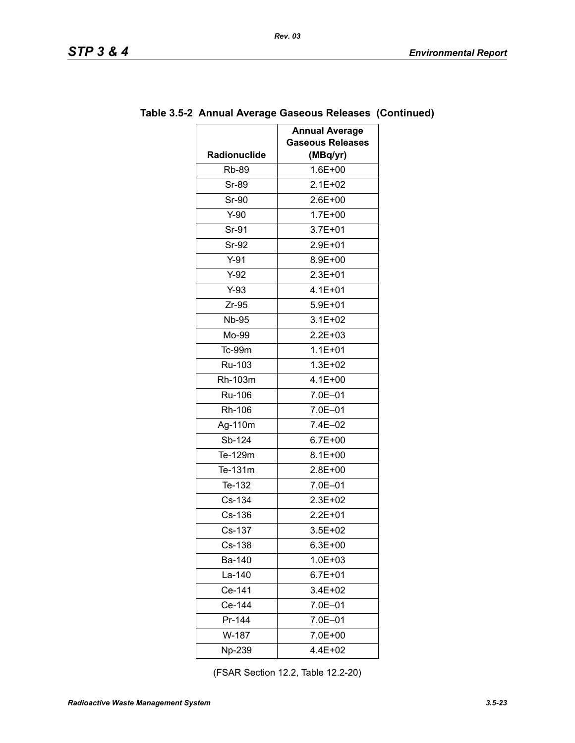|              | <b>Annual Average</b><br><b>Gaseous Releases</b> |
|--------------|--------------------------------------------------|
| Radionuclide | (MBq/yr)                                         |
| <b>Rb-89</b> | 1.6E+00                                          |
| <b>Sr-89</b> | $2.1E + 02$                                      |
| Sr-90        | 2.6E+00                                          |
| $Y-90$       | $1.7E + 00$                                      |
| Sr-91        | $3.7E + 01$                                      |
| Sr-92        | 2.9E+01                                          |
| $Y-91$       | 8.9E+00                                          |
| $Y-92$       | $2.3E + 01$                                      |
| $Y-93$       | 4.1E+01                                          |
| $Zr-95$      | $5.9E + 01$                                      |
| <b>Nb-95</b> | $3.1E + 02$                                      |
| Mo-99        | $2.2E + 03$                                      |
| Tc-99m       | $1.1E + 01$                                      |
| Ru-103       | $1.3E + 02$                                      |
| Rh-103m      | $4.1E + 00$                                      |
| Ru-106       | 7.0E-01                                          |
| Rh-106       | 7.0E-01                                          |
| Ag-110m      | 7.4E-02                                          |
| Sb-124       | $6.7E + 00$                                      |
| Te-129m      | $8.1E + 00$                                      |
| Te-131m      | 2.8E+00                                          |
| Te-132       | $7.0E - 01$                                      |
| Cs-134       | 2.3E+02                                          |
| Cs-136       | $2.2E + 01$                                      |
| Cs-137       | $3.5E + 02$                                      |
| Cs-138       | $6.3E + 00$                                      |
| Ba-140       | $1.0E + 03$                                      |
| La-140       | $6.7E + 01$                                      |
| Ce-141       | 3.4E+02                                          |
| Ce-144       | 7.0E-01                                          |
| Pr-144       | 7.0E-01                                          |
| W-187        | 7.0E+00                                          |
| Np-239       | 4.4E+02                                          |

### **Table 3.5-2 Annual Average Gaseous Releases (Continued)**

*Rev. 03*

(FSAR Section 12.2, Table 12.2-20)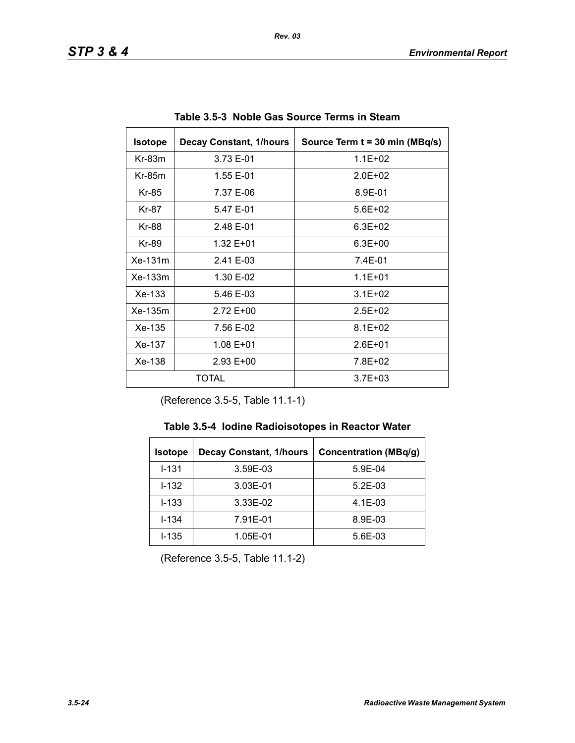| <b>Isotope</b> | <b>Decay Constant, 1/hours</b> | Source Term t = 30 min (MBq/s) |
|----------------|--------------------------------|--------------------------------|
| $Kr-83m$       | 3.73 E-01                      | $1.1E + 02$                    |
| $Kr-85m$       | 1.55 E-01                      | $2.0F + 02$                    |
| Kr-85          | 7.37 E-06                      | 8.9E-01                        |
| Kr-87          | 5.47 E-01                      | $5.6E + 02$                    |
| Kr-88          | 2.48 E-01                      | $6.3E + 02$                    |
| Kr-89          | 1.32 E+01                      | $6.3E + 00$                    |
| Xe-131m        | 2.41 E-03                      | 7.4E-01                        |
| $Xe-133m$      | 1.30 E-02                      | $1.1E + 01$                    |
| $Xe-133$       | 5.46 E-03                      | $3.1E + 02$                    |
| Xe-135m        | 2.72 E+00                      | $2.5E + 02$                    |
| Xe-135         | 7.56 E-02                      | $8.1E + 02$                    |
| Xe-137         | 1.08 E+01                      | $2.6E + 01$                    |
| Xe-138         | $2.93 E+00$                    | 7.8E+02                        |
| TOTAL          |                                | $3.7E + 03$                    |

**Table 3.5-3 Noble Gas Source Terms in Steam** 

(Reference 3.5-5, Table 11.1-1)

| <b>Isotope</b> | <b>Decay Constant, 1/hours</b> | <b>Concentration (MBq/g)</b> |
|----------------|--------------------------------|------------------------------|
| $1 - 131$      | 3.59E-03                       | 5.9E-04                      |
| $1 - 132$      | 3.03E-01                       | $5.2E-03$                    |
| $I - 133$      | 3.33E-02                       | $4.1E-03$                    |
| $I - 134$      | 7.91E-01                       | 8.9E-03                      |
| $I - 135$      | 1.05E-01                       | 5.6E-03                      |

(Reference 3.5-5, Table 11.1-2)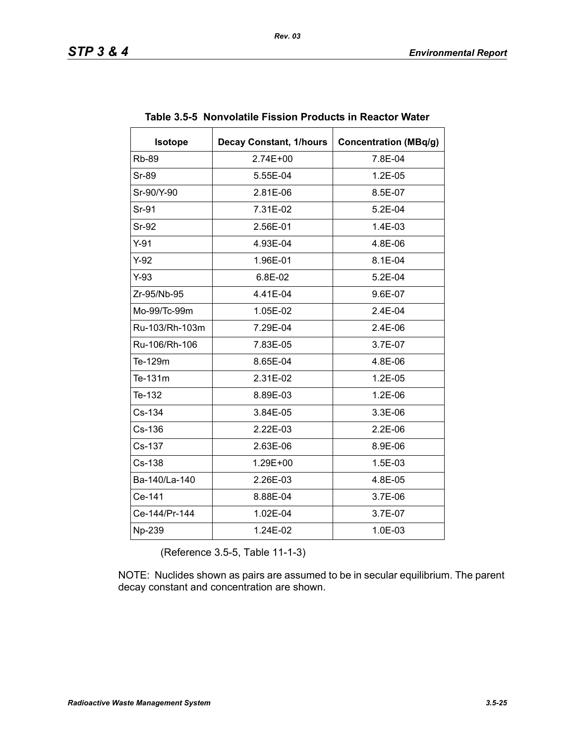| <b>Isotope</b> | <b>Decay Constant, 1/hours</b> | <b>Concentration (MBq/g)</b> |
|----------------|--------------------------------|------------------------------|
| <b>Rb-89</b>   | $2.74E + 00$                   | 7.8E-04                      |
| Sr-89          | 5.55E-04                       | 1.2E-05                      |
| Sr-90/Y-90     | 2.81E-06                       | 8.5E-07                      |
| Sr-91          | 7.31E-02                       | 5.2E-04                      |
| <b>Sr-92</b>   | 2.56E-01                       | 1.4E-03                      |
| $Y-91$         | 4.93E-04                       | 4.8E-06                      |
| $Y-92$         | 1.96E-01                       | 8.1E-04                      |
| $Y-93$         | 6.8E-02                        | $5.2E-04$                    |
| Zr-95/Nb-95    | 4.41E-04                       | 9.6E-07                      |
| Mo-99/Tc-99m   | 1.05E-02                       | 2.4E-04                      |
| Ru-103/Rh-103m | 7.29E-04                       | 2.4E-06                      |
| Ru-106/Rh-106  | 7.83E-05                       | 3.7E-07                      |
| Te-129m        | 8.65E-04                       | 4.8E-06                      |
| Te-131m        | 2.31E-02                       | 1.2E-05                      |
| Te-132         | 8.89E-03                       | 1.2E-06                      |
| Cs-134         | 3.84E-05                       | 3.3E-06                      |
| Cs-136         | 2.22E-03                       | 2.2E-06                      |
| Cs-137         | 2.63E-06                       | 8.9E-06                      |
| Cs-138         | 1.29E+00                       | 1.5E-03                      |
| Ba-140/La-140  | 2.26E-03                       | 4.8E-05                      |
| Ce-141         | 8.88E-04                       | 3.7E-06                      |
| Ce-144/Pr-144  | 1.02E-04                       | 3.7E-07                      |
| Np-239         | 1.24E-02                       | 1.0E-03                      |

|  |  | Table 3.5-5 Nonvolatile Fission Products in Reactor Water |
|--|--|-----------------------------------------------------------|
|  |  |                                                           |

(Reference 3.5-5, Table 11-1-3)

NOTE: Nuclides shown as pairs are assumed to be in secular equilibrium. The parent decay constant and concentration are shown.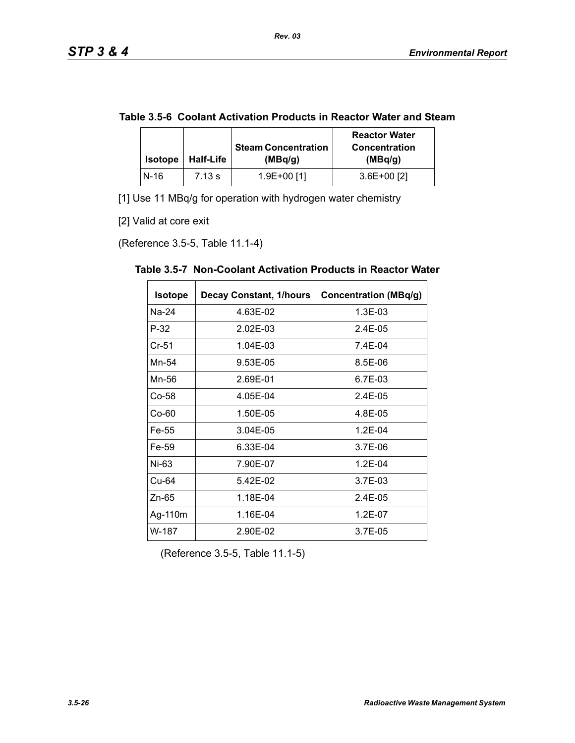|  | Table 3.5-6 Coolant Activation Products in Reactor Water and Steam |  |
|--|--------------------------------------------------------------------|--|
|--|--------------------------------------------------------------------|--|

| <b>Isotope</b> | <b>Half-Life</b> | <b>Steam Concentration</b><br>(MBq/g) | <b>Reactor Water</b><br><b>Concentration</b><br>(MBq/g) |
|----------------|------------------|---------------------------------------|---------------------------------------------------------|
| $N-16$         | 7.13 s           | 1.9E+00 [1]                           | $3.6E+00$ [2]                                           |

[1] Use 11 MBq/g for operation with hydrogen water chemistry

[2] Valid at core exit

(Reference 3.5-5, Table 11.1-4)

| <b>Isotope</b> | <b>Decay Constant, 1/hours</b> | <b>Concentration (MBq/g)</b> |
|----------------|--------------------------------|------------------------------|
| Na-24          | 4.63E-02                       | 1.3E-03                      |
| $P-32$         | 2.02E-03                       | 2.4E-05                      |
| $Cr-51$        | 1.04E-03                       | 7.4E-04                      |
| Mn-54          | 9.53E-05                       | 8.5E-06                      |
| Mn-56          | 2.69E-01                       | 6.7E-03                      |
| Co-58          | 4.05E-04                       | 2.4E-05                      |
| $Co-60$        | 1.50E-05                       | 4.8E-05                      |
| Fe-55          | 3.04E-05                       | $1.2E - 04$                  |
| Fe-59          | 6.33E-04                       | $3.7E-06$                    |
| Ni-63          | 7.90E-07                       | $1.2E - 04$                  |
| Cu-64          | 5.42E-02                       | 3.7E-03                      |
| $Zn-65$        | 1.18E-04                       | $2.4E - 0.5$                 |
| Ag-110m        | 1.16E-04                       | 1.2E-07                      |
| W-187          | 2.90E-02                       | 3.7E-05                      |

**Table 3.5-7 Non-Coolant Activation Products in Reactor Water** 

(Reference 3.5-5, Table 11.1-5)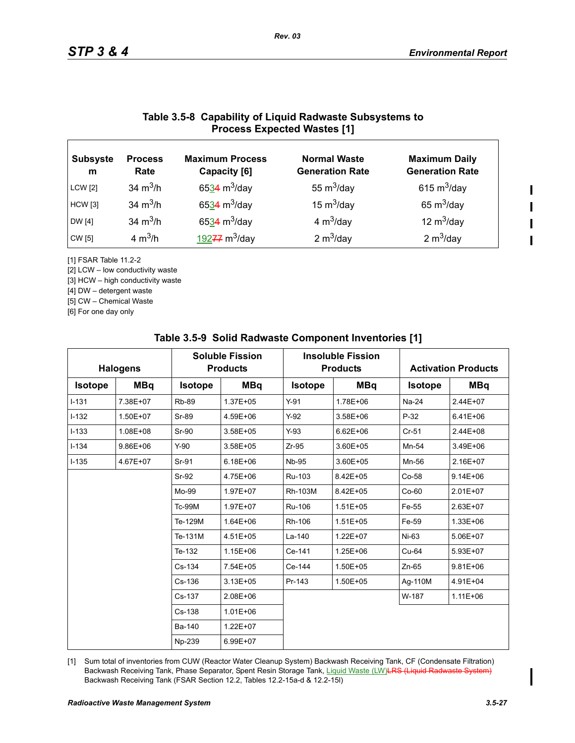### **Table 3.5-8 Capability of Liquid Radwaste Subsystems to Process Expected Wastes [1]**

| <b>Subsyste</b><br>m | <b>Process</b><br>Rate | <b>Maximum Process</b><br>Capacity [6] | <b>Normal Waste</b><br><b>Generation Rate</b> | <b>Maximum Daily</b><br><b>Generation Rate</b> |
|----------------------|------------------------|----------------------------------------|-----------------------------------------------|------------------------------------------------|
| <b>LCW</b> [2]       | 34 $m^3/h$             | 6534 m <sup>3</sup> /day               | 55 $m^3$ /day                                 | 615 $m^3$ /day                                 |
| <b>HCW</b> [3]       | 34 $m^3/h$             | 6534 $m^3$ /day                        | 15 $m^3$ /day                                 | 65 $m^3$ /day                                  |
| <b>DW</b> [4]        | 34 $m^3/h$             | 6534 $m^3$ /day                        | 4 $m^3$ /day                                  | 12 $m^3$ /day                                  |
| <b>CW</b> [5]        | 4 $m^3/h$              | $19277 \text{ m}^3$ /day               | 2 $m^3$ /day                                  | 2 $m^3$ /day                                   |

[1] FSAR Table 11.2-2

[2] LCW – low conductivity waste

[3] HCW – high conductivity waste

[4] DW – detergent waste

[5] CW – Chemical Waste

[6] For one day only

| <b>Halogens</b> |            | <b>Soluble Fission</b><br><b>Products</b> |              | <b>Insoluble Fission</b><br><b>Products</b> |              |                | <b>Activation Products</b> |  |
|-----------------|------------|-------------------------------------------|--------------|---------------------------------------------|--------------|----------------|----------------------------|--|
| <b>Isotope</b>  | <b>MBq</b> | <b>Isotope</b>                            | <b>MBq</b>   | <b>Isotope</b>                              | <b>MBq</b>   | <b>Isotope</b> | <b>MBq</b>                 |  |
| $I - 131$       | 7.38E+07   | <b>Rb-89</b>                              | 1.37E+05     | $Y-91$                                      | 1.78E+06     | Na-24          | $2.44E+07$                 |  |
| $I-132$         | 1.50E+07   | Sr-89                                     | 4.59E+06     | $Y-92$                                      | 3.58E+06     | $P-32$         | $6.41E + 06$               |  |
| $I-133$         | 1.08E+08   | Sr-90                                     | 3.58E+05     | $Y-93$                                      | $6.62E + 06$ | $Cr-51$        | 2.44E+08                   |  |
| $I - 134$       | 9.86E+06   | $Y-90$                                    | 3.58E+05     | $Zr-95$                                     | 3.60E+05     | Mn-54          | 3.49E+06                   |  |
| $I - 135$       | 4.67E+07   | Sr-91                                     | $6.18E + 06$ | <b>Nb-95</b>                                | 3.60E+05     | Mn-56          | 2.16E+07                   |  |
|                 |            | Sr-92                                     | 4.75E+06     | Ru-103                                      | 8.42E+05     | Co-58          | $9.14E + 06$               |  |
|                 |            | Mo-99                                     | 1.97E+07     | Rh-103M                                     | 8.42E+05     | $Co-60$        | 2.01E+07                   |  |
|                 |            | <b>Tc-99M</b>                             | 1.97E+07     | Ru-106                                      | 1.51E+05     | Fe-55          | 2.63E+07                   |  |
|                 |            | Te-129M                                   | $1.64E + 06$ | Rh-106                                      | $1.51E + 05$ | Fe-59          | 1.33E+06                   |  |
|                 |            | Te-131M                                   | 4.51E+05     | La-140                                      | 1.22E+07     | Ni-63          | 5.06E+07                   |  |
|                 |            | Te-132                                    | 1.15E+06     | Ce-141                                      | 1.25E+06     | Cu-64          | 5.93E+07                   |  |
|                 |            | Cs-134                                    | 7.54E+05     | Ce-144                                      | 1.50E+05     | $Zn-65$        | $9.81E + 06$               |  |
|                 |            | Cs-136                                    | $3.13E + 05$ | Pr-143                                      | 1.50E+05     | Ag-110M        | 4.91E+04                   |  |
|                 |            | Cs-137                                    | 2.08E+06     |                                             |              | W-187          | $1.11E + 06$               |  |
|                 |            | $Cs-138$                                  | $1.01E + 06$ |                                             |              |                |                            |  |
|                 |            | Ba-140                                    | $1.22E + 07$ |                                             |              |                |                            |  |
|                 |            | Np-239                                    | 6.99E+07     |                                             |              |                |                            |  |

#### **Table 3.5-9 Solid Radwaste Component Inventories [1]**

[1] Sum total of inventories from CUW (Reactor Water Cleanup System) Backwash Receiving Tank, CF (Condensate Filtration) Backwash Receiving Tank, Phase Separator, Spent Resin Storage Tank, Liquid Waste (LW) LRS (Liquid Radwaste System) Backwash Receiving Tank (FSAR Section 12.2, Tables 12.2-15a-d & 12.2-15l)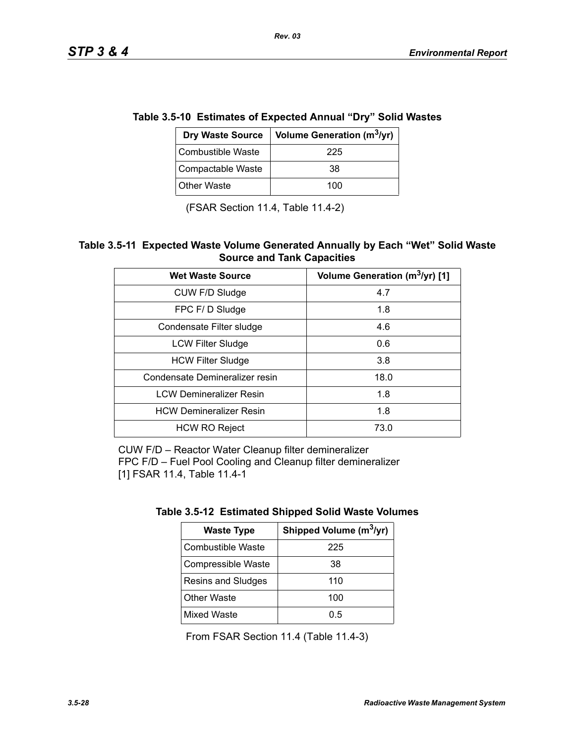| ie 3.5-10 Estimates of Expected Annual "Dry" Solid Wasi |                   |                                                   |  |  |
|---------------------------------------------------------|-------------------|---------------------------------------------------|--|--|
|                                                         |                   | Dry Waste Source   Volume Generation ( $m^3$ /yr) |  |  |
|                                                         | Combustible Waste | 225                                               |  |  |
|                                                         | Compactable Waste | 38                                                |  |  |

**Table 3.5-10 Estimates of Expected Annual "Dry" Solid Wastes** 

*Rev. 03*

(FSAR Section 11.4, Table 11.4-2)

Other Waste  $\vert$  100

#### **Table 3.5-11 Expected Waste Volume Generated Annually by Each "Wet" Solid Waste Source and Tank Capacities**

| <b>Wet Waste Source</b>        | Volume Generation (m <sup>3</sup> /yr) [1] |  |
|--------------------------------|--------------------------------------------|--|
| CUW F/D Sludge                 | 4.7                                        |  |
| FPC F/D Sludge                 | 1.8                                        |  |
| Condensate Filter sludge       | 4.6                                        |  |
| <b>LCW Filter Sludge</b>       | 0.6                                        |  |
| <b>HCW Filter Sludge</b>       | 3.8                                        |  |
| Condensate Demineralizer resin | 18.0                                       |  |
| <b>LCW Demineralizer Resin</b> | 1.8                                        |  |
| <b>HCW Demineralizer Resin</b> | 1.8                                        |  |
| <b>HCW RO Reject</b>           | 73.0                                       |  |

CUW F/D – Reactor Water Cleanup filter demineralizer FPC F/D – Fuel Pool Cooling and Cleanup filter demineralizer [1] FSAR 11.4, Table 11.4-1

| <b>Waste Type</b>  | Shipped Volume (m <sup>3</sup> /yr) |
|--------------------|-------------------------------------|
| Combustible Waste  | 225                                 |
| Compressible Waste | 38                                  |
| Resins and Sludges | 110                                 |
| <b>Other Waste</b> | 100                                 |
| <b>Mixed Waste</b> | 0.5                                 |

From FSAR Section 11.4 (Table 11.4-3)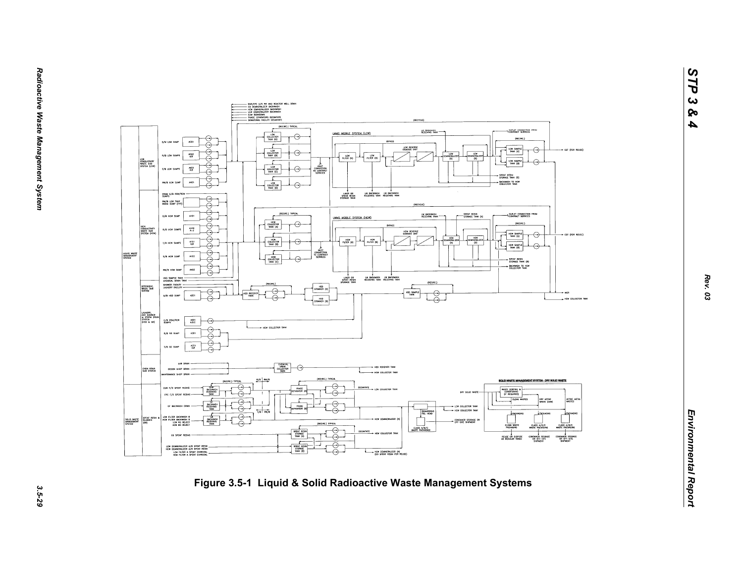

*STP 3 & 4*